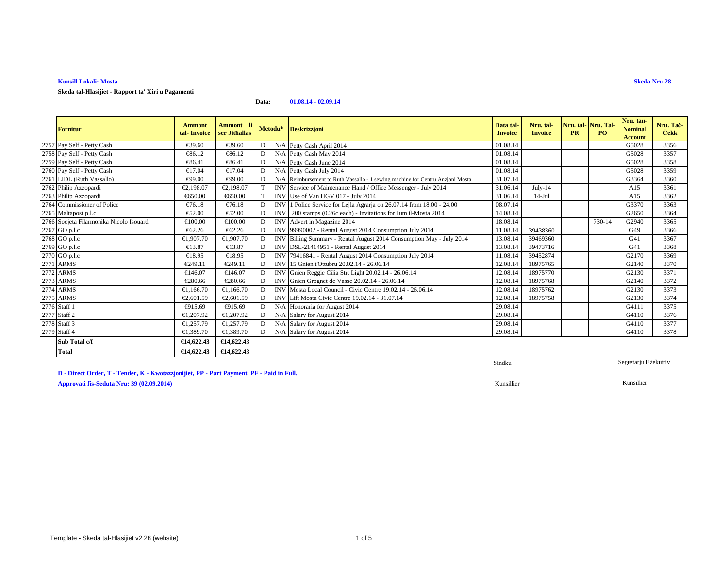# **Kunsill Lokali: Mosta**

**Skeda tal-Ħlasijiet - Rapport ta' Xiri u Pagamenti**

### **Data:01.08.14 - 02.09.14**

| <b>Fornitur</b>                         | <b>Ammont</b><br>tal-Invoice | <b>Ammont</b> li<br>ser Jithallas |   | Metodu*    | <b>Deskrizzjoni</b>                                                           | Data tal-<br><b>Invoice</b> | Nru. tal-<br><b>Invoice</b> | <b>PR</b> | Nru. tal-Nru. Tal-<br>PO. | Nru. tan-<br><b>Nominal</b><br><b>Account</b> | Nru. Tac-<br><b>Cekk</b> |
|-----------------------------------------|------------------------------|-----------------------------------|---|------------|-------------------------------------------------------------------------------|-----------------------------|-----------------------------|-----------|---------------------------|-----------------------------------------------|--------------------------|
| 2757 Pay Self - Petty Cash              | €39.60                       | €39.60                            |   |            | N/A Petty Cash April 2014                                                     | 01.08.14                    |                             |           |                           | G5028                                         | 3356                     |
| 2758 Pay Self - Petty Cash              | €86.12                       | €86.12                            | D |            | N/A Petty Cash May 2014                                                       | 01.08.14                    |                             |           |                           | G5028                                         | 3357                     |
| 2759 Pay Self - Petty Cash              | €86.41                       | €86.41                            |   |            | N/A Petty Cash June 2014                                                      | 01.08.14                    |                             |           |                           | G5028                                         | 3358                     |
| 2760 Pay Self - Petty Cash              | €17.04                       | €17.04                            |   |            | N/A Petty Cash July 2014                                                      | 01.08.14                    |                             |           |                           | G5028                                         | 3359                     |
| 2761 LIDL (Ruth Vassallo)               | €99.00                       | €99.00                            |   |            | N/AReimbursement to Ruth Vassallo - 1 sewing machine for Centru Anzjani Mosta | 31.07.14                    |                             |           |                           | G3364                                         | 3360                     |
| 2762 Philip Azzopardi                   | €2.198.07                    | €2,198.07                         |   |            | INV Service of Maintenance Hand Office Messenger - July 2014                  | 31.06.14                    | $July-14$                   |           |                           | A15                                           | 3361                     |
| 2763 Philip Azzopardi                   | €650.00                      | €650.00                           |   |            | INV Use of Van HGV 017 - July 2014                                            | 31.06.14                    | $14-Jul$                    |           |                           | A15                                           | 3362                     |
| 2764 Commissioner of Police             | €76.18                       | €76.18                            |   |            | INV 1 Police Service for LejlaAgrarja on 26.07.14 from 18.00 - 24.00          | 08.07.14                    |                             |           |                           | G3370                                         | 3363                     |
| 2765 Maltapost p.l.c                    | €52.00                       | €52.00                            |   | <b>INV</b> | 200 stamps (0.26c each) - Invitations for Jum il-Mosta 2014                   | 14.08.14                    |                             |           |                           | G2650                                         | 3364                     |
| 2766 Socjeta Filarmonika Nicolo Isouard | €100.00                      | €100.00                           | D |            | INV Advert in Magaine 2014                                                    | 18.08.14                    |                             |           | 730-14                    | G2940                                         | 3365                     |
| $\overline{2767}$ GO p.l.c              | €62.26                       | €62.26                            |   |            | INV 99990002 - Rental August 2014 Consumption July 2014                       | 11.08.1                     | 39438360                    |           |                           | G49                                           | 3366                     |
| 2768 GO p.l.c                           | €1,907.70                    | €1,907.70                         |   |            | INV Billing Summary - Rental August 2014 ConsumptionMay - July 2014           | 13.08.14                    | 39469360                    |           |                           | G41                                           | 3367                     |
| 2769 GO p.l.c                           | €13.87                       | €13.87                            |   |            | INV DSL-21414951 - Rental August 2014                                         | 13.08.14                    | 39473716                    |           |                           | G41                                           | 3368                     |
| 2770 GO p.l.c                           | €18.95                       | €18.95                            |   |            | INV 79416841 - Rental August 2014 Consumption July 2014                       | 11.08.1                     | 39452874                    |           |                           | G2170                                         | 3369                     |
| 2771 ARMS                               | €249.11                      | €249.11                           | D |            | INV 15 Gnien t'Ottubru 20.02.14 - 26.06.14                                    | 12.08.14                    | 18975765                    |           |                           | G2140                                         | 3370                     |
| 2772 ARMS                               | €146.07                      | €146.07                           | D |            | INV Gnien Reggie Cilia Strt Light 20.02.14 - 26.06.14                         | 12.08.14                    | 18975770                    |           |                           | G2130                                         | 3371                     |
| 2773 ARMS                               | €280.66                      | €280.66                           | D |            | INV Gnien Grognet de Vasse 20.02.14 - 26.06.14                                | 12.08.14                    | 18975768                    |           |                           | G2140                                         | 3372                     |
| 2774 ARMS                               | €1.166.70                    | €1.166.70                         | D |            | INV Mosta Local Council - Civic Centre 19.02.14 - 26.06.14                    | 12.08.14                    | 18975762                    |           |                           | G2130                                         | 3373                     |
| 2775 ARMS                               | €2,601.59                    | €2,601.59                         | D |            | INV Lift Mosta Civic Centre 19.02.14 - 31.07.14                               | 12.08.14                    | 18975758                    |           |                           | G2130                                         | 3374                     |
| 2776 Staff 1                            | €915.69                      | €915.69                           | D |            | N/A Honoraria for August 2014                                                 | 29.08.14                    |                             |           |                           | G4111                                         | 3375                     |
| 2777 Staff 2                            | €1.207.92                    | €1.207.92                         |   |            | N/A Salary for August 2014                                                    | 29.08.14                    |                             |           |                           | G4110                                         | 3376                     |
| 2778 Staff 3                            | €1,257.79                    | €1,257.79                         | D |            | N/A Salary for August 2014                                                    | 29.08.14                    |                             |           |                           | G4110                                         | 3377                     |
| 2779 Staff 4                            | €1,389.70                    | €1,389.70                         | D |            | N/A Salary for August 2014                                                    | 29.08.14                    |                             |           |                           | G4110                                         | 3378                     |
| Sub Total c/f                           | €14,622.43                   | €14,622.43                        |   |            |                                                                               |                             |                             |           |                           |                                               |                          |
| <b>Total</b>                            | €14,622.43                   | €14,622.43                        |   |            |                                                                               |                             |                             |           |                           |                                               |                          |

**D - Direct Order, T - Tender, K - Kwotazzjonijiet, PP - Part Payment, PF - Paid in Full.**

Sindku

Segretarju Eżekuttiv

Kunsillier Kunsillier

**Approvati fis-Seduta Nru: 39 (02.09.2014)**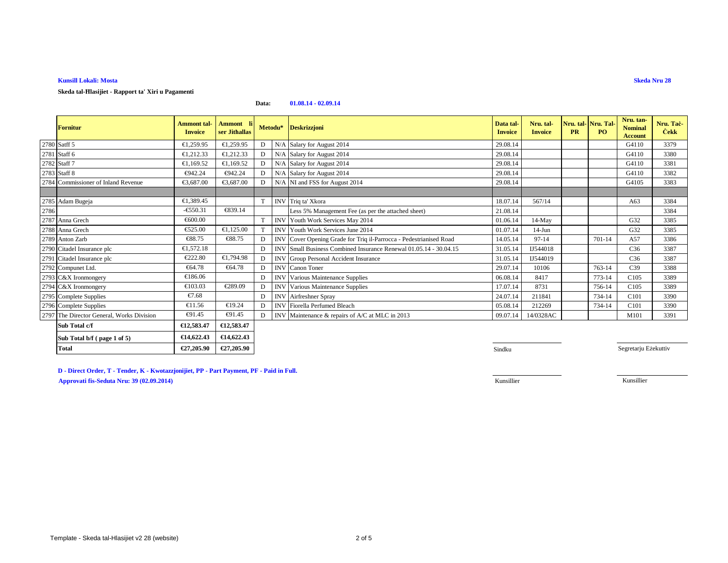# **Kunsill Lokali: Mosta**

**Skeda tal-Ħlasijiet - Rapport ta' Xiri u Pagamenti**

### **Data:01.08.14 - 02.09.14**

|      | <b>Fornitur</b>                           | <b>Ammont</b> tal-<br><b>Invoice</b> | Ammont li<br>ser Jithallas |   |            | Metodu* Deskrizzjoni                                               | Data tal-<br><b>Invoice</b> | Nru. tal-<br><b>Invoice</b> | <b>PR</b> | Nru. tal-Nru. Tal-<br>PQ | Nru. tan-<br><b>Nominal</b><br><b>Account</b> | Nru. Tač-<br><b>Cekk</b> |
|------|-------------------------------------------|--------------------------------------|----------------------------|---|------------|--------------------------------------------------------------------|-----------------------------|-----------------------------|-----------|--------------------------|-----------------------------------------------|--------------------------|
|      | 2780 Satff 5                              | €1,259.95                            | €1,259.95                  | D |            | N/A Salary for August 2014                                         | 29.08.14                    |                             |           |                          | G4110                                         | 3379                     |
|      | 2781 Staff 6                              | €1,212.33                            | €1,212.33                  | D |            | N/A Salary for August 2014                                         | 29.08.14                    |                             |           |                          | G4110                                         | 3380                     |
|      | 2782 Staff 7                              | €1,169.52                            | €1,169.52                  | D |            | N/A Salary for August 2014                                         | 29.08.14                    |                             |           |                          | G4110                                         | 3381                     |
|      | 2783 Staff 8                              | €942.24                              | €942.24                    | D |            | N/A Salary for August 2014                                         | 29.08.14                    |                             |           |                          | G4110                                         | 3382                     |
|      | 2784 Commissioner of Inland Revenue       | €3,687.00                            | €3,687.00                  | D |            | N/A NI and FSS for August 2014                                     | 29.08.14                    |                             |           |                          | G4105                                         | 3383                     |
|      |                                           |                                      |                            |   |            |                                                                    |                             |                             |           |                          |                                               |                          |
|      | 2785 Adam Bugeja                          | €1,389.45                            |                            |   |            | INV Triq ta' Xkora                                                 | 18.07.14                    | 567/14                      |           |                          | A63                                           | 3384                     |
| 2786 |                                           | $-6550.31$                           | €839.14                    |   |            | Less 5% Management Fee (as per the attached sheet)                 | 21.08.14                    |                             |           |                          |                                               | 3384                     |
|      | 2787 Anna Grech                           | €600.00                              |                            |   |            | INV Youth Work Services May 2014                                   | 01.06.14                    | 14-May                      |           |                          | G32                                           | 3385                     |
|      | 2788 Anna Grech                           | €525.00                              | €1,125.00                  |   |            | <b>INV</b> Youth Work Services June 2014                           | 01.07.14                    | $14-J$ un                   |           |                          | G32                                           | 3385                     |
|      | 2789 Anton Zarb                           | €88.75                               | €88.75                     | D |            | INV Cover Opening Grade for Triq il-Parrocca - Pedestrianised Road | 14.05.14                    | $97 - 14$                   |           | 701-14                   | A57                                           | 3386                     |
|      | 2790 Citadel Insurance plc                | €1.572.18                            |                            | D |            | INV Small Business Combined Insurance Renewal 01.05.14 - 30.04.15  | 31.05.14                    | IJ544018                    |           |                          | C36                                           | 3387                     |
|      | 2791 Citadel Insurance plc                | €222.80                              | €1,794.98                  | D |            | INV Group Personal Accident Insurance                              | 31.05.14                    | IJ544019                    |           |                          | C <sub>36</sub>                               | 3387                     |
|      | 2792 Compunet Ltd.                        | €64.78                               | €64.78                     | D |            | <b>INV</b> Canon Toner                                             | 29.07.14                    | 10106                       |           | 763-14                   | C <sub>39</sub>                               | 3388                     |
|      | 2793 C&X Ironmongery                      | €186.06                              |                            | D |            | <b>INV</b> Various Maintenance Supplies                            | 06.08.14                    | 8417                        |           | 773-14                   | C105                                          | 3389                     |
|      | 2794 C&X Ironmongery                      | €103.03                              | €289.09                    | D |            | <b>INV</b> Various Maintenance Supplies                            | 17.07.14                    | 8731                        |           | 756-14                   | C <sub>105</sub>                              | 3389                     |
|      | 2795 Complete Supplies                    | €7.68                                |                            | D | <b>INV</b> | Airfreshner Spray                                                  | 24.07.14                    | 211841                      |           | 734-14                   | C101                                          | 3390                     |
|      | 2796 Complete Supplies                    | €11.56                               | €19.24                     | D |            | <b>INV</b> Fiorella Perfumed Bleach                                | 05.08.14                    | 212269                      |           | 734-14                   | C101                                          | 3390                     |
|      | 2797 The Director General, Works Division | €91.45                               | €91.45                     | D |            | INV Maintenance & repairs of A/C at MLC in 2013                    | 09.07.14                    | 14/0328AC                   |           |                          | M101                                          | 3391                     |
|      | Sub Total c/f                             | €12,583.47                           | €12,583.47                 |   |            |                                                                    |                             |                             |           |                          |                                               |                          |
|      | Sub Total b/f (page 1 of 5)               | €14,622.43                           | €14,622.43                 |   |            |                                                                    |                             |                             |           |                          |                                               |                          |
|      | <b>Total</b>                              | €27,205.90                           | €27,205.90                 |   |            |                                                                    | Sindku                      |                             |           |                          | Segretarju Eżekuttiv                          |                          |

**U** Sindku

**D - Direct Order, T - Tender, K - Kwotazzjonijiet, PP - Part Payment, PF - Paid in Full.**

**Approvati fis-Seduta Nru: 39 (02.09.2014)**Kunsillier

Kunsillier

**Skeda Nru 28**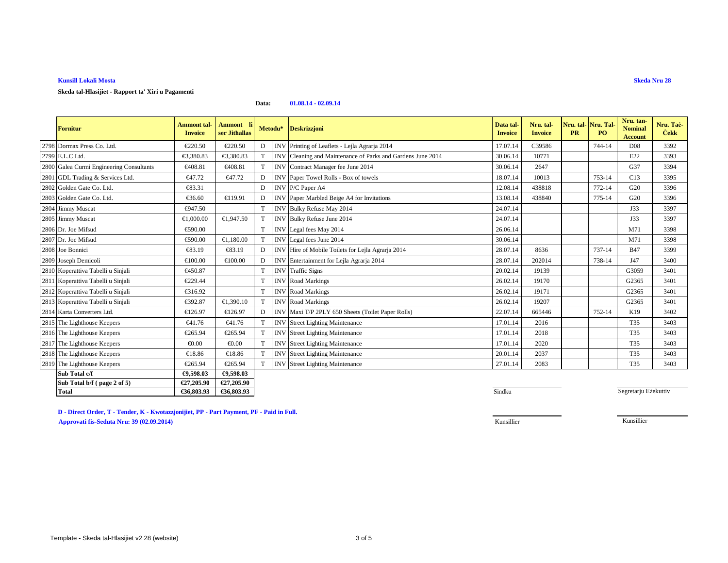## **Kunsill Lokali Mosta**

**Skeda tal-Hlasijiet - Rapport ta' Xiri u Pagamenti**

### **Data:01.08.14 - 02.09.14**

| <b>Fornitur</b>                          | <b>Ammont</b> tal-<br><b>Invoice</b> | <b>Ammont</b><br>ser Jithallas | Metodu* |            | <b>Deskrizzjoni</b>                                        | Data tal-<br><b>Invoice</b> | Nru. tal-<br><b>Invoice</b> | Nru. tal-<br><b>PR</b> | Nru. Tal-<br>PO <sub>1</sub> | Nru. tan-<br><b>Nominal</b><br><b>Account</b> | Nru. Tac-<br><b>Cekk</b> |
|------------------------------------------|--------------------------------------|--------------------------------|---------|------------|------------------------------------------------------------|-----------------------------|-----------------------------|------------------------|------------------------------|-----------------------------------------------|--------------------------|
| 2798 Dormax Press Co. Ltd.               | €220.50                              | €220.50                        | D       |            | INV Printing of Leaflets - Lila Agrarja 2014               | 17.07.14                    | C39586                      |                        | 744-14                       | D <sub>08</sub>                               | 3392                     |
| 2799 E.L.C Ltd.                          | €3,380.83                            | €3.380.83                      |         |            | INV Cleaning and Maintenance of Parksand Gardens June 2014 | 30.06.14                    | 10771                       |                        |                              | E22                                           | 3393                     |
| 2800 Galea Curmi Engineering Consultants | €408.81                              | €408.81                        |         | <b>INV</b> | ContractManager fee June 2014                              | 30.06.14                    | 2647                        |                        |                              | G37                                           | 3394                     |
| 2801 GDL Trading & Services Ltd.         | €47.72                               | €47.72                         | D       |            | INV Paper Towel Rolls Box of towels                        | 18.07.14                    | 10013                       |                        | 753-14                       | C13                                           | 3395                     |
| 2802 Golden Gate Co. Ltd.                | €83.31                               |                                | D       |            | INV P/C Paper A4                                           | 12.08.14                    | 438818                      |                        | 772-14                       | G <sub>20</sub>                               | 3396                     |
| 2803 Golden Gate Co. Ltd.                | €36.60                               | €119.91                        | D       |            | INV Paper Marbled Beige A4 for Inviations                  | 13.08.14                    | 438840                      |                        | 775-14                       | G20                                           | 3396                     |
| 2804 Jimmy Muscat                        | €947.50                              |                                | T       | <b>INV</b> | Bulky Refuse May 2014                                      | 24.07.14                    |                             |                        |                              | J33                                           | 3397                     |
| 2805 Jimmy Muscat                        | €1,000,00                            | €1,947.50                      |         | <b>INV</b> | Bulky Refuse June 2014                                     | 24.07.14                    |                             |                        |                              | J33                                           | 3397                     |
| 2806 Dr. Joe Mifsud                      | €590.00                              |                                | T       | <b>INV</b> | Legal fees May 2014                                        | 26.06.14                    |                             |                        |                              | M71                                           | 3398                     |
| 2807 Dr. Joe Mifsud                      | €590.00                              | €1,180.00                      |         |            | INV Legal fees June 2014                                   | 30.06.14                    |                             |                        |                              | M71                                           | 3398                     |
| 2808 Joe Bonnici                         | €83.19                               | €83.19                         | D       | <b>INV</b> | Hire of Mobile Toilets for Lejla Agraia 2014               | 28.07.14                    | 8636                        |                        | 737-14                       | <b>B47</b>                                    | 3399                     |
| 2809 Joseph Demicoli                     | €100.00                              | €100.00                        | D       |            | INV Entertainment for Lejla Agrarja2014                    | 28.07.14                    | 202014                      |                        | 738-14                       | J47                                           | 3400                     |
| 2810 Koperattiva Tabelli u Sinjali       | €450.87                              |                                | T       | <b>INV</b> | <b>Traffic Signs</b>                                       | 20.02.14                    | 19139                       |                        |                              | G3059                                         | 3401                     |
| 2811 Koperattiva Tabelli u Sinjali       | €229.44                              |                                | T       | <b>INV</b> | <b>Road Markings</b>                                       | 26.02.14                    | 19170                       |                        |                              | G2365                                         | 3401                     |
| 2812 Koperattiva Tabelli u Sinjali       | €316.92                              |                                | T       | <b>INV</b> | Road Markings                                              | 26.02.14                    | 19171                       |                        |                              | G2365                                         | 3401                     |
| 2813 Koperattiva Tabelli u Sinjali       | €392.87                              | €1,390.10                      |         | <b>INV</b> | Road Markings                                              | 26.02.14                    | 19207                       |                        |                              | G2365                                         | 3401                     |
| 2814 Karta Converters Ltd.               | €126.97                              | €126.97                        | D       |            | INV Maxi T/P 2PLY 650 Sheets (Tilet Paper Rolls)           | 22.07.14                    | 665446                      |                        | 752-14                       | K19                                           | 3402                     |
| 2815 The Lighthouse Keepers              | €41.76                               | €41.76                         |         | <b>INV</b> | Street Lighting Mainteance                                 | 17.01.14                    | 2016                        |                        |                              | T35                                           | 3403                     |
| 2816 The Lighthouse Keepers              | €265.94                              | €265.94                        |         | <b>INV</b> | Street Lighting Maintance                                  | 17.01.14                    | 2018                        |                        |                              | T35                                           | 3403                     |
| 2817 The Lighthouse Keepers              | € $0.00$                             | € $0.00$                       |         | <b>INV</b> | <b>Street Lighting Mainteance</b>                          | 17.01.14                    | 2020                        |                        |                              | T35                                           | 3403                     |
| 2818 The Lighthouse Keepers              | €18.86                               | €18.86                         |         | <b>INV</b> | <b>Street Lighting Mainteance</b>                          | 20.01.14                    | 2037                        |                        |                              | T35                                           | 3403                     |
| 2819 The Lighthouse Keepers              | €265.94                              | €265.94                        |         |            | <b>INV</b> Street Lighting Mainteance                      | 27.01.14                    | 2083                        |                        |                              | T35                                           | 3403                     |
| Sub Total c/f                            | €9,598.03                            | €9,598.03                      |         |            |                                                            |                             |                             |                        |                              |                                               |                          |
| Sub Total b/f (page 2 of 5)              | €27,205.90                           | €27,205.90                     |         |            |                                                            |                             |                             |                        |                              |                                               |                          |
| <b>Total</b>                             | €36,803.93                           | €36,803.93                     |         |            |                                                            | Sindku                      |                             |                        |                              | Segretarju Eżekuttiv                          |                          |

**D - Direct Order, T - Tender, K - Kwotazzjonijiet, PP - Part Payment, PF - Paid in Full.Approvati fis-Seduta Nru: 39 (02.09.2014)**Kunsillier

Kunsillier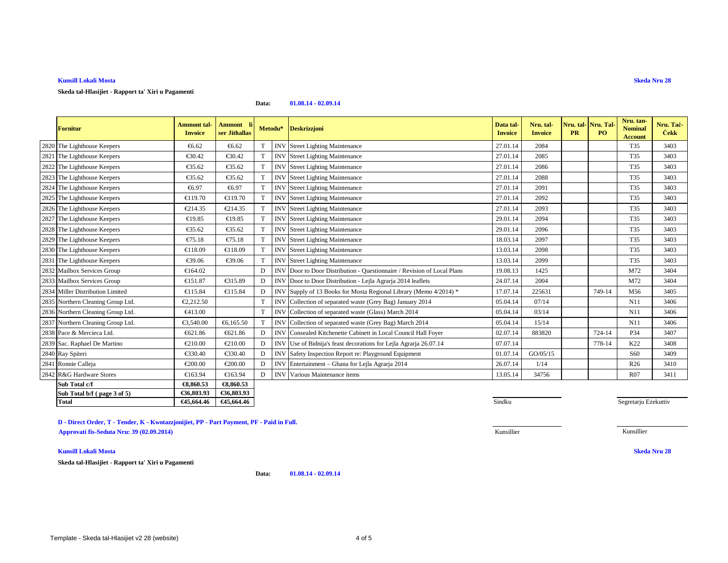## **Kunsill Lokali Mosta**

**Skeda tal-Hlasijiet - Rapport ta' Xiri u Pagamenti**

#### **Data:01.08.14 - 02.09.14**

| <b>Fornitur</b>                   | <b>Ammont</b> tal-<br><b>Invoice</b> | Ammont<br>ser Jithallas |             |            | Metodu* Deskrizzjoni                                                | Data tal-<br><b>Invoice</b> | Nru. tal-<br><b>Invoice</b> | Nru. tal-<br><b>PR</b> | Nru. Tal-<br><b>PO</b> | Nru. tan-<br><b>Nominal</b><br><b>Account</b> | Nru. Tac-<br><b>Cekk</b> |
|-----------------------------------|--------------------------------------|-------------------------|-------------|------------|---------------------------------------------------------------------|-----------------------------|-----------------------------|------------------------|------------------------|-----------------------------------------------|--------------------------|
| 2820 The Lighthouse Keepers       | €6.62                                | €6.62                   |             | <b>INV</b> | <b>Street Lighting Mainteance</b>                                   | 27.01.14                    | 2084                        |                        |                        | T35                                           | 3403                     |
| 2821 The Lighthouse Keepers       | €30.42                               | €30.42                  | T           | <b>INV</b> | <b>Street Lighting Mainteance</b>                                   | 27.01.14                    | 2085                        |                        |                        | T35                                           | 3403                     |
| 2822 The Lighthouse Keepers       | €35.62                               | €35.62                  | $\mathbf T$ | <b>INV</b> | <b>Street Lighting Mainteance</b>                                   | 27.01.14                    | 2086                        |                        |                        | T35                                           | 3403                     |
| 2823 The Lighthouse Keepers       | €35.62                               | €35.62                  | T           | <b>INV</b> | <b>Street Lighting Mainteance</b>                                   | 27.01.14                    | 2088                        |                        |                        | T35                                           | 3403                     |
| 2824 The Lighthouse Keepers       | €6.97                                | €6.97                   | T           | <b>INV</b> | <b>Street Lighting Mainteance</b>                                   | 27.01.14                    | 2091                        |                        |                        | T35                                           | 3403                     |
| 2825 The Lighthouse Keepers       | €119.70                              | €119.70                 | $\mathbf T$ | <b>INV</b> | <b>Street Lighting Mainteance</b>                                   | 27.01.14                    | 2092                        |                        |                        | T35                                           | 3403                     |
| 2826 The Lighthouse Keepers       | €214.35                              | €214.35                 | $\mathbf T$ | <b>INV</b> | <b>Street Lighting Mainteance</b>                                   | 27.01.14                    | 2093                        |                        |                        | T35                                           | 3403                     |
| 2827 The Lighthouse Keepers       | €19.85                               | €19.85                  | T           | <b>INV</b> | <b>Street Lighting Mainteance</b>                                   | 29.01.14                    | 2094                        |                        |                        | T35                                           | 3403                     |
| 2828 The Lighthouse Keepers       | €35.62                               | €35.62                  | T           | <b>INV</b> | <b>Street Lighting Mainteance</b>                                   | 29.01.14                    | 2096                        |                        |                        | T35                                           | 3403                     |
| 2829 The Lighthouse Keepers       | €75.18                               | €75.18                  |             | <b>INV</b> | <b>Street Lighting Mainteance</b>                                   | 18.03.14                    | 2097                        |                        |                        | T35                                           | 3403                     |
| 2830 The Lighthouse Keepers       | €118.09                              | €118.09                 |             | <b>INV</b> | <b>Street Lighting Mainteance</b>                                   | 13.03.14                    | 2098                        |                        |                        | T35                                           | 3403                     |
| 2831 The Lighthouse Keepers       | €39.06                               | €39.06                  | T           | <b>INV</b> | <b>Street Lighting Mainteance</b>                                   | 13.03.14                    | 2099                        |                        |                        | T35                                           | 3403                     |
| 2832 Mailbox Services Group       | €164.02                              |                         | D           | <b>INV</b> | Door to Door Distribution - Questionnaire / Revision of Local Plans | 19.08.13                    | 1425                        |                        |                        | M72                                           | 3404                     |
| 2833 Mailbox Services Group       | €151.87                              | €315.89                 |             | <b>INV</b> | Door to Door Distribution - Lila Agrarja 2014 leaflets              | 24.07.14                    | 2004                        |                        |                        | M72                                           | 3404                     |
| 2834 Miller Distribution Limited  | €115.84                              | €115.84                 | D           | <b>INV</b> | Supply of 13 Books for Most Regional Library (Memo 4/2014) *        | 17.07.14                    | 225631                      |                        | 749-14                 | M56                                           | 3405                     |
| 2835 Northern Cleaning Group Ltd. | €2,212.50                            |                         |             | <b>INV</b> | Collection of separatedwaste (Grey Bag) January 2014                | 05.04.14                    | 07/14                       |                        |                        | N11                                           | 3406                     |
| 2836 Northern Cleaning Group Ltd. | €413.00                              |                         | T           | <b>INV</b> | Collection of separated waste (Glass) March 2014                    | 05.04.14                    | 03/14                       |                        |                        | N11                                           | 3406                     |
| 2837 Northern Cleaning Group Ltd. | €3,540.00                            | €6,165.50               | T           | <b>INV</b> | Collection of separted waste (Grey Bag) March 2014                  | 05.04.14                    | 15/14                       |                        |                        | N11                                           | 3406                     |
| 2838 Pace & Mercieca Ltd.         | €621.86                              | €621.86                 | D           | <b>INV</b> | Consealed Kitchenette Cabiett in Local Council Hall Foyer           | 02.07.14                    | 883820                      |                        | 724-14                 | P34                                           | 3407                     |
| 2839 Sac. Raphael De Martino      | €210.00                              | €210.00                 | D           | <b>INV</b> | Use of Bidnija's feastle corations for Lejla Agrarja 26.07.14       | 07.07.14                    |                             |                        | 778-14                 | K22                                           | 3408                     |
| 2840 Ray Spiteri                  | €330.40                              | €330.40                 | D           | <b>INV</b> | Safety Inspection Report re: Playgroud Equipment                    | 01.07.14                    | GO/05/15                    |                        |                        | S <sub>60</sub>                               | 3409                     |
| 2841 Ronnie Calleia               | €200.00                              | €200.00                 | D           | <b>INV</b> | Entertainment - Ghana for LejlaAgrarja 2014                         | 26.07.14                    | 1/14                        |                        |                        | R <sub>26</sub>                               | 3410                     |
| 2842 R&G Hardware Stores          | €163.94                              | €163.94                 | D           | <b>INV</b> | Various Maintenance items                                           | 13.05.14                    | 34756                       |                        |                        | R07                                           | 3411                     |
| Sub Total c/f                     | €8.860.53                            | €8,860.53               |             |            |                                                                     |                             |                             |                        |                        |                                               |                          |
| Sub Total b/f (page 3 of 5)       | €36,803.93                           | €36,803.93              |             |            |                                                                     |                             |                             |                        |                        |                                               |                          |
| <b>Total</b>                      | €45,664.46                           | €45,664.46              |             |            |                                                                     | Sindku                      |                             |                        |                        | Segretarju Eżekuttiv                          |                          |

**D - Direct Order, T - Tender, K - Kwotazzjonijiet, PP - Part Payment, PF - Paid in Full.Approvati fis-Seduta Nru: 39 (02.09.2014)**Kunsillier Kunsillier

## **Kunsill Lokali Mosta**

**Skeda tal-Hlasijiet - Rapport ta' Xiri u Pagamenti**

**Data:01.08.14 - 02.09.14** **Skeda Nru 28**

 $\sim$  Sindku

**Skeda Nru 28**